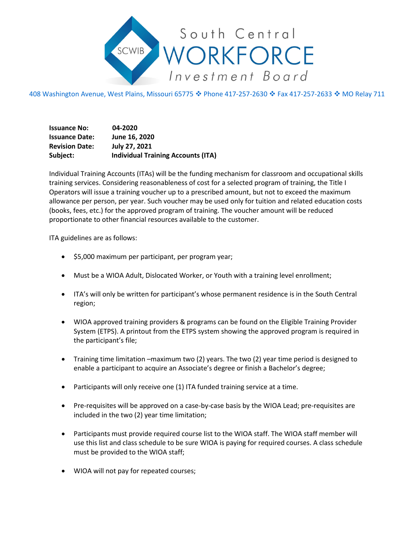

408 Washington Avenue, West Plains, Missouri 65775 � Phone 417-257-2630 � Fax 417-257-2633 � MO Relay 711

**Issuance No: 04-2020 Issuance Date: June 16, 2020 Revision Date: July 27, 2021 Subject: Individual Training Accounts (ITA)**

Individual Training Accounts (ITAs) will be the funding mechanism for classroom and occupational skills training services. Considering reasonableness of cost for a selected program of training, the Title I Operators will issue a training voucher up to a prescribed amount, but not to exceed the maximum allowance per person, per year. Such voucher may be used only for tuition and related education costs (books, fees, etc.) for the approved program of training. The voucher amount will be reduced proportionate to other financial resources available to the customer.

ITA guidelines are as follows:

- \$5,000 maximum per participant, per program year;
- Must be a WIOA Adult, Dislocated Worker, or Youth with a training level enrollment;
- ITA's will only be written for participant's whose permanent residence is in the South Central region;
- WIOA approved training providers & programs can be found on the Eligible Training Provider System (ETPS). A printout from the ETPS system showing the approved program is required in the participant's file;
- Training time limitation –maximum two (2) years. The two (2) year time period is designed to enable a participant to acquire an Associate's degree or finish a Bachelor's degree;
- Participants will only receive one (1) ITA funded training service at a time.
- Pre-requisites will be approved on a case-by-case basis by the WIOA Lead; pre-requisites are included in the two (2) year time limitation;
- Participants must provide required course list to the WIOA staff. The WIOA staff member will use this list and class schedule to be sure WIOA is paying for required courses. A class schedule must be provided to the WIOA staff;
- WIOA will not pay for repeated courses;